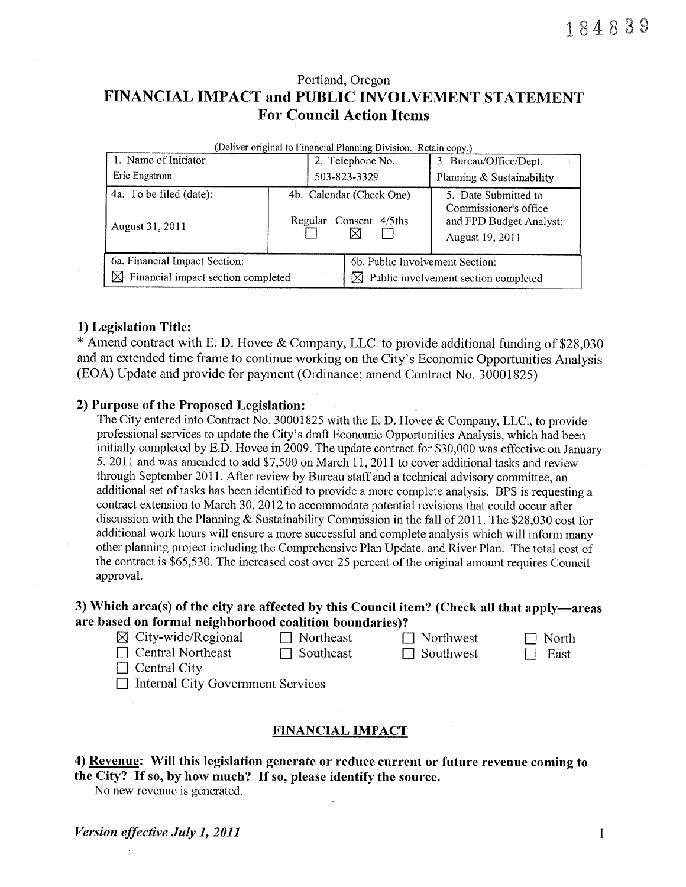## Portland, Oregon FINANCIAL IMPACT and PUBLIC INVOLVEMENT STATEMENT For Council Action ltems

| (Deliver original to Financial Planning Division. Retain copy.) |  |                                                    |                                                                                             |  |  |  |  |
|-----------------------------------------------------------------|--|----------------------------------------------------|---------------------------------------------------------------------------------------------|--|--|--|--|
| 1. Name of Initiator                                            |  | 2. Telephone No.                                   | 3. Bureau/Office/Dept.                                                                      |  |  |  |  |
| Eric Engstrom                                                   |  | 503-823-3329                                       | Planning & Sustainability                                                                   |  |  |  |  |
| 4a. To be filed (date):<br>August 31, 2011                      |  | 4b. Calendar (Check One)<br>Regular Consent 4/5ths | 5. Date Submitted to<br>Commissioner's office<br>and FPD Budget Analyst:<br>August 19, 2011 |  |  |  |  |
| 6a. Financial Impact Section:                                   |  | 6b. Public Involvement Section:                    |                                                                                             |  |  |  |  |
| $\boxtimes$ Financial impact section completed                  |  | $\boxtimes$ Public involvement section completed   |                                                                                             |  |  |  |  |

#### 1) Legislation Title:

\* Amend contract with E. D. Hovee & Company, LLC. to provide additional funding of \$28,030 and an extended time frame to continue working on the City's Economic Opportunities Analysis (EOA) Update and provide for payment (Ordinance; amend Contract No. 30001825)

#### 2) Purpose of the Proposed Legislation:

The City entered into Contract No. 30001825 with the E. D. Hovee & Company, LLC., to provide professional services to update the City's draft Economic Opportunities Analysis, which had been initially completed by E.D. Hovee in 2009. The update contract for \$30,000 was effective on January 5, 2011 and was amended to add \$7,500 on March 11, 2011 to cover additional tasks and review through September 2011. After review by Bureau staff and a technical advisory committee, an additional set of tasks has been identified to provide a more complete analysis. BPS is requesting a contract extension to March 30,2012 to accommodate potential revisions that could occur after discussion with the Planning & Sustainability Commission in the fall of 2011. The \$28,030 cost for additional work hours will ensure a more successful and complete analysis which will inform many other planning project including the Comprehensive Plan Update, and River Plan. The total cost of the contract is \$65,530. The increased cost over 25 percent of the original amount requires Council approval.

## 3) Which area(s) of the city are affected by this Council item? (Check all that apply-areas are based on formal neighborhood coalition boundaries)?<br>  $\boxtimes$  City-wide/Regional  $\Box$  Northeast  $\Box$  Northwest  $\Box$  North

| $\boxtimes$ City-wide/Regional           | $\Box$ Northeast | $\Box$ Northwest | $\Box$ North |
|------------------------------------------|------------------|------------------|--------------|
| $\Box$ Central Northeast                 | $\Box$ Southeast | $\Box$ Southwest | East         |
| $\Box$ Central City                      |                  |                  |              |
| $\Box$ Internal City Government Services |                  |                  |              |

| могі |
|------|
| 7.AN |

#### FINANCIAL IMPACT

4) Revenue: Will this legislation generate or reduce current or future revenue coming to the City? If so, by how much? If so, please identify the source.

No new revenue is generated.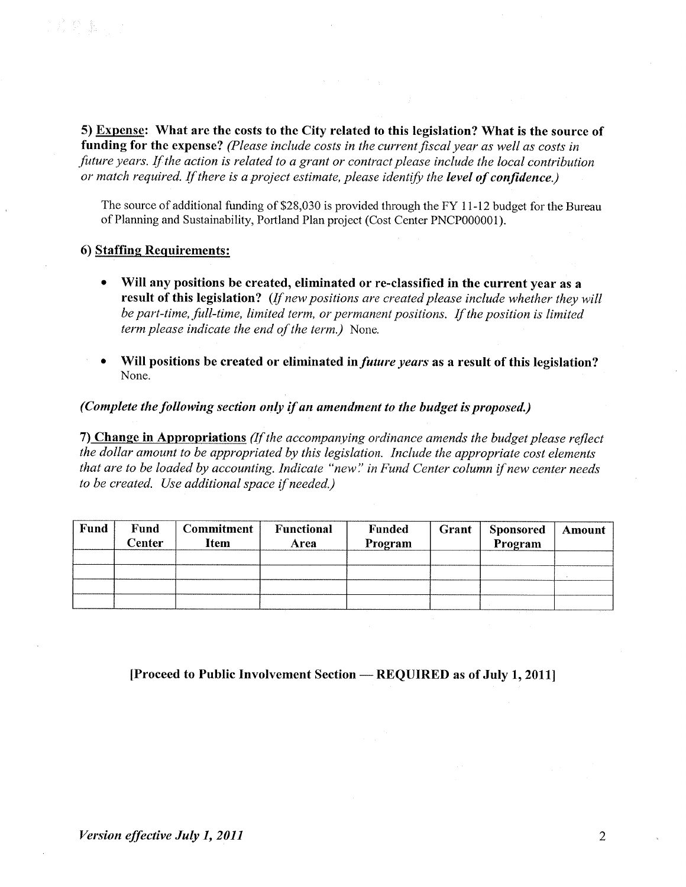5) Expense: What are the costs to the City related to this legislation? What is the source of funding for the expense? (Please include costs in the current fiscal year as well as costs in future years. If the action is related to a grant or contract please include the local contribution or match required. If there is a project estimate, please identify the level of confidence.)

The source of additional funding of \$28,030 is provided through the FY I l-12 budget for the Bureau of Planning and Sustainability, Portland Plan project (Cost Center PNCP000001).

#### 6) Staffine Requirements:

- Will any positions be created, eliminated or re-classified in the current year as a result of this legislation? (If new positions are created please include whether they will be part-time, full-time, limited term, or permanent positions. If the position is limited term please indicate the end of the term.) None.
- Will positions be created or eliminated in *future years* as a result of this legislation? None.

(Complete the following section only if an amendment to the budget is proposed.)

7) Change in Appropriations (If the accompanying ordinance amends the budget please reflect the dollar amount to be appropriated by thís legislation. Include the appropriate cost elements that are to be loaded by accounting. Indicate "new'.' in Fund Center column if new center needs to be created. Use additional space if needed.)

| Fund | Fund<br>Center | <b>Commitment</b><br><b>Item</b> | Functional<br>Area | <b>Funded</b><br>Program | Grant | <b>Sponsored</b><br>Program | Amount |
|------|----------------|----------------------------------|--------------------|--------------------------|-------|-----------------------------|--------|
|      |                |                                  |                    |                          |       |                             |        |
|      |                |                                  |                    |                          |       |                             |        |
|      |                |                                  |                    |                          |       |                             |        |
|      |                |                                  |                    |                          |       |                             |        |

[Proceed to Public Involvement Section — REQUIRED as of July 1, 2011]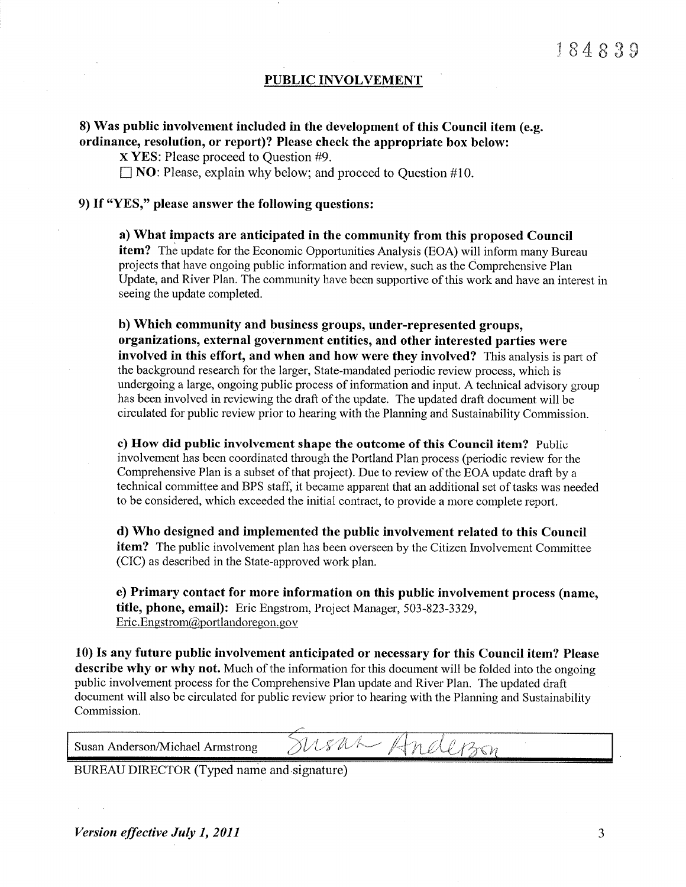#### PUBLIC INVOLVEMENT

#### 8) Was public involvement included in the development of this Council item (e.g. ordinance, resolution, or report)? Please check the appropriate box below:

x YES: Please proceed to Question #9.

 $\Box$  NO: Please, explain why below; and proceed to Question #10.

### 9) If "YES," please answer the following questions:

a) What impacts are anticipated in the community from this proposed Council item? The update for the Economic Opportunities Analysis (EOA) will inform many Bureau projects that have ongoing public information and review, such as the Comprehensive Plan Update, and River Plan. The community have been supportive of this work and have an interest in seeing the update completed.

b) Which community and business groups, under-represented groups, organizations, external government entities, and other interested parties were involved in this effort, and when and how were they involved? This analysis is part of the background research for the larger, State-mandated periodic review process, which is undergoing a large, ongoing public process of information and input. A technical advisory group has been involved in reviewing the draft of the update. The updated draft document will be circulated for public review prior to hearing with the Planning and Sustainability Commission.

c) How did pubtic involvement shape the outcome of this Council item? Public involvement has been coordinated through the Portland Plan process (periodic review for the Comprehensive Plan is a subset of that project). Due to review of the EOA update draft by a technical committee and BPS staff, it became apparent that an additional set of tasks was needed to be considered, which exceeded the initial contract, to provide a more complete report.

d) Who designed and implemented the public involvement related to this Council **item?** The public involvement plan has been overseen by the Citizen Involvement Committee (CIC) as described in the State-approved work plan.

e) Primary contact for more information on this public involvement process (name, title, phone, email): Eric Engstrom, Project Manager, 503-823-3329, Eric. Engstrom(@portlandoregon. gov

10) Is any future public involvement anticipated or necessary for this Council item? Please describe why or why not. Much of the information for this document will be folded into the ongoing public involvement process for the Comprehensive Plan update and River Plan. The updated draft document will also be circulated for public review prior to hearing with the Planning and Sustainability Commission.

 $\begin{array}{ccc} \hbox{Susan Anderson/Michael Armstrong} & \hbox{MSM-Mell/son} \ \hline \end{array}$ 

BUREAU DIRECTOR (Typed name and signature)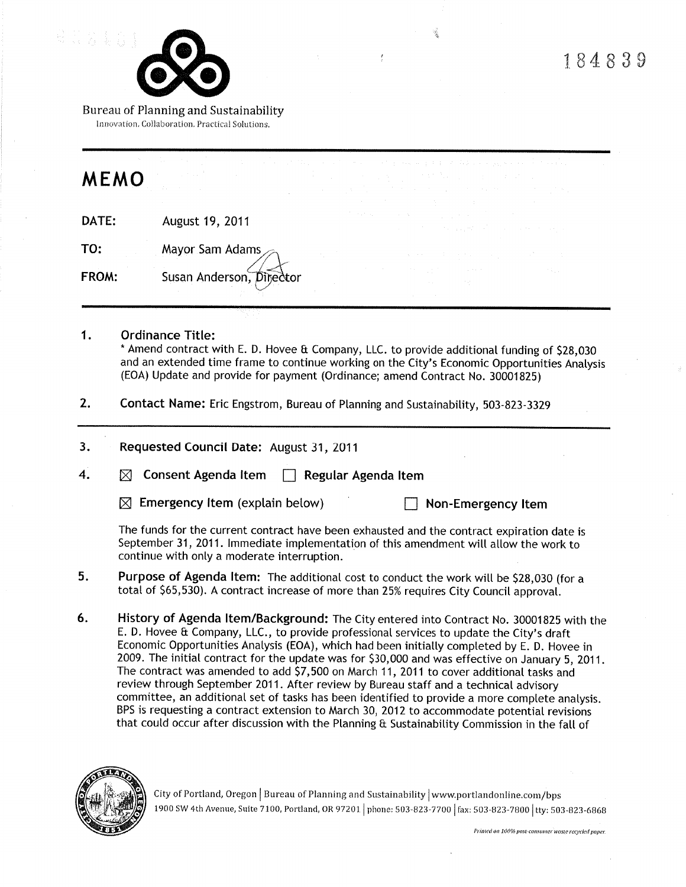

Bureau of Planning and Sustainability Innovation. Collaboration. Practical Solutions,

# MEMO

DATE: August 19,2011

TO: Mayor Sam Adams FROM: Susan Anderson, Director

#### 1. Ordinance Title:

\* Amend contract with E. D. Hovee & Company, LLC. to provide additionat funding of 528,030 and an extended time frame to continue working on the City's Economic Opportunities Anatysis (EOA) Update and provide for payment (Ordinance; amend Contract No. 30001825)

 $\ddot{\cdot}$ 

- 2. Contact Name: Eric Engstrom, Bureau of Ptanning and Sustainabitity, 503-823-3329
- 3. Requested Council Date: August 31,2011

4.  $\boxtimes$  Consent Agenda Item  $\Box$  Regular Agenda Item

 $\boxtimes$  Emergency Item (explain below)  $\Box$  Non-Emergency Item

The funds for the current contract have been exhausted and the contract expiration date is September 31, 2011. Immediate implementation of this amendment will allow the work to continue with only a moderate interruption.

- 5. Purpose of Agenda Item: The additional cost to conduct the work will be \$28,030 (for a total of 565,530). A contract increase of more than 25% requires City Council approvat.
- 6. History of Agenda ltem/Background: The City entered into Contract No. 30001825 with the E. D. Hovee & Company, LLC., to provide professional services to update the City's draft Economic Opportunities Analysis (EOA), which had been initially completed by E. D. Hovee in 2009. The initiat contract for the update was for 530,000 and was effective on January 5, 2011. The contract was amended to add 57,500 on March 11, 2011 to cover additional tasks and review through September 2011. After review by Bureau staff and a technical advisory committee, an additional set of tasks has been identified to provide a more complete analysis. BPS is requesting a contract extension to March 30,2012 to accommodate potential revisions that could occur after discussion with the Planning & Sustainability Commission in the fall of



City of Portland, Oregon | Bureau of Planning and Sustainability | www.portlandonline.com/bps 1900 SW 4th Avenue, Suite 7100, Portland, OR 97201 | phone: 503-823-7700 | fax: 503-823-7800 | tty: 503-823-6868